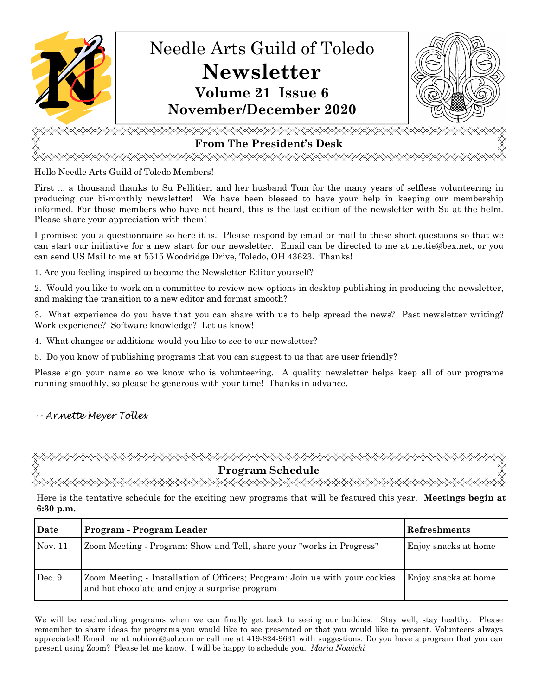

# **From The President's Desk**

<del></del>

Hello Needle Arts Guild of Toledo Members!

First ... a thousand thanks to Su Pellitieri and her husband Tom for the many years of selfless volunteering in producing our bi-monthly newsletter! We have been blessed to have your help in keeping our membership informed. For those members who have not heard, this is the last edition of the newsletter with Su at the helm. Please share your appreciation with them!

I promised you a questionnaire so here it is. Please respond by email or mail to these short questions so that we can start our initiative for a new start for our newsletter. Email can be directed to me at nettie@bex.net, or you can send US Mail to me at 5515 Woodridge Drive, Toledo, OH 43623. Thanks!

1. Are you feeling inspired to become the Newsletter Editor yourself?

2. Would you like to work on a committee to review new options in desktop publishing in producing the newsletter, and making the transition to a new editor and format smooth?

3. What experience do you have that you can share with us to help spread the news? Past newsletter writing? Work experience? Software knowledge? Let us know!

4. What changes or additions would you like to see to our newsletter?

5. Do you know of publishing programs that you can suggest to us that are user friendly?

Please sign your name so we know who is volunteering. A quality newsletter helps keep all of our programs running smoothly, so please be generous with your time! Thanks in advance.

# -- Annette Meyer Tolles

**Program Schedule** 

Here is the tentative schedule for the exciting new programs that will be featured this year. **Meetings begin at 6:30 p.m.**

| Date    | Program - Program Leader                                                                                                      | <b>Refreshments</b>  |
|---------|-------------------------------------------------------------------------------------------------------------------------------|----------------------|
| Nov. 11 | Zoom Meeting - Program: Show and Tell, share your "works in Progress"                                                         | Enjoy snacks at home |
| Dec. 9  | Zoom Meeting - Installation of Officers; Program: Join us with your cookies<br>and hot chocolate and enjoy a surprise program | Enjoy snacks at home |

We will be rescheduling programs when we can finally get back to seeing our buddies. Stay well, stay healthy. Please remember to share ideas for programs you would like to see presented or that you would like to present. Volunteers always appreciated! Email me at nohiorn@aol.com or call me at 419-824-9631 with suggestions. Do you have a program that you can present using Zoom? Please let me know. I will be happy to schedule you. *Maria Nowicki*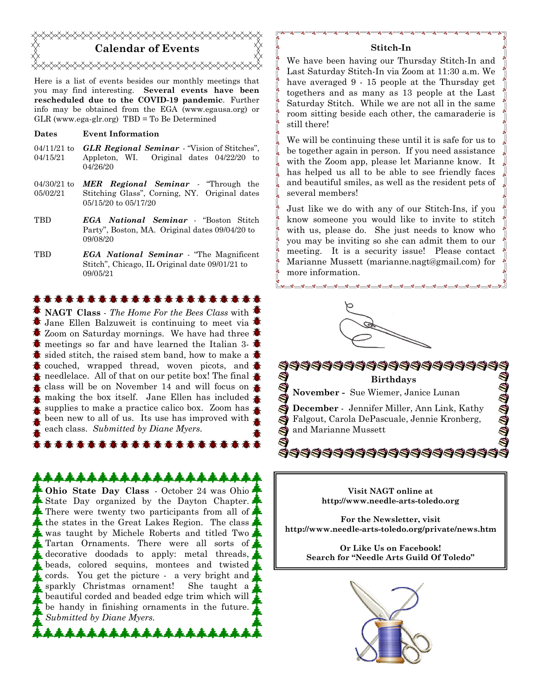

Here is a list of events besides our monthly meetings that you may find interesting. **Several events have been rescheduled due to the COVID-19 pandemic**. Further info may be obtained from the EGA (www.egausa.org) or GLR (www.ega-glr.org) TBD = To Be Determined

#### **Dates Event Information**

- 04/11/21 to 04/15/21 *GLR Regional Seminar* - "Vision of Stitches", Appleton, WI. Original dates 04/22/20 to 04/26/20
- 04/30/21 to 05/02/21 *MER Regional Seminar* - "Through the Stitching Glass", Corning, NY. Original dates 05/15/20 to 05/17/20
- TBD *EGA National Seminar* "Boston Stitch Party", Boston, MA. Original dates 09/04/20 to 09/08/20
- TBD *EGA National Seminar* "The Magnificent Stitch", Chicago, IL Original date 09/01/21 to 09/05/21

#### **有毒毒毒毒毒毒毒毒毒毒毒毒毒毒毒**

**NAGT Class** - *The Home For the Bees Class* with Jane Ellen Balzuweit is continuing to meet via  $\triangle$  Zoom on Saturday mornings. We have had three  $\lambda$ 梵 meetings so far and have learned the Italian 3- $\ddot{\Phi}$ sided stitch, the raised stem band, how to make a couched, wrapped thread, woven picots, and  $\bigstar$  $\triangle$  needlelace. All of that on our petite box! The final  $\triangle$ class will be on November 14 and will focus on  $\triangle$ making the box itself. Jane Ellen has included  $\clubsuit$ supplies to make a practice calico box. Zoom has been new to all of us. Its use has improved with each class. *Submitted by Diane Myers.* 

# \*\*\*\*\*\*\*\*\*\*\*\*\*\*\*\*\*\*\*

**商商商商商商商商商商商商商** 

**Ohio State Day Class** - October 24 was Ohio State Day organized by the Dayton Chapter. There were twenty two participants from all of.  $\blacktriangle$  the states in the Great Lakes Region. The class, was taught by Michele Roberts and titled Two Tartan Ornaments. There were all sorts of decorative doodads to apply: metal threads, beads, colored sequins, montees and twisted cords. You get the picture - a very bright and sparkly Christmas ornament! She taught a beautiful corded and beaded edge trim which will be handy in finishing ornaments in the future. *Submitted by Diane Myers.*

#### **Stitch-In**

We have been having our Thursday Stitch-In and Last Saturday Stitch-In via Zoom at 11:30 a.m. We have averaged 9 - 15 people at the Thursday get togethers and as many as 13 people at the Last Saturday Stitch. While we are not all in the same room sitting beside each other, the camaraderie is still there!

We will be continuing these until it is safe for us to be together again in person. If you need assistance with the Zoom app, please let Marianne know. It has helped us all to be able to see friendly faces and beautiful smiles, as well as the resident pets of several members!

Just like we do with any of our Stitch-Ins, if you know someone you would like to invite to stitch with us, please do. She just needs to know who you may be inviting so she can admit them to our meeting. It is a security issue! Please contact Marianne Mussett (marianne.nagt@gmail.com) for more information.





**Visit NAGT online at http://www.needle-arts-toledo.org** 

**For the Newsletter, visit http://www.needle-arts-toledo.org/private/news.htm** 

> **Or Like Us on Facebook! Search for "Needle Arts Guild Of Toledo"**

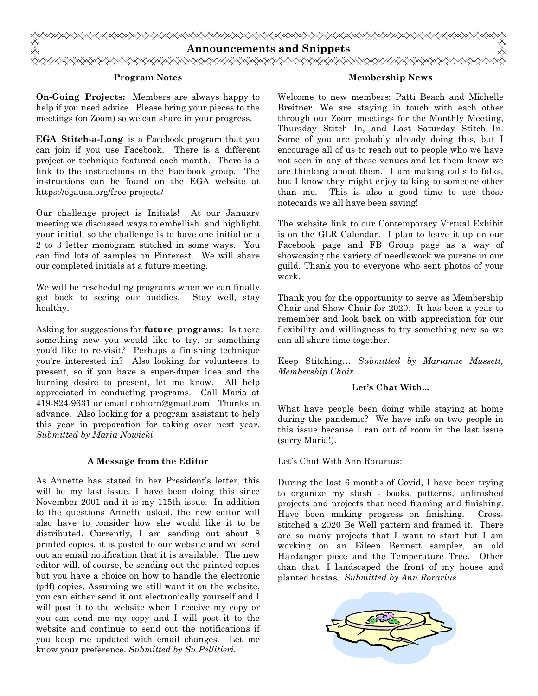

### **Program Notes**

**On-Going Projects:** Members are always happy to help if you need advice. Please bring your pieces to the meetings (on Zoom) so we can share in your progress.

**EGA Stitch-a-Long** is a Facebook program that you can join if you use Facebook. There is a different project or technique featured each month. There is a link to the instructions in the Facebook group. The instructions can be found on the EGA website at https://egausa.org/free-projects/

Our challenge project is Initials! At our January meeting we discussed ways to embellish and highlight your initial, so the challenge is to have one initial or a 2 to 3 letter monogram stitched in some ways. You can find lots of samples on Pinterest. We will share our completed initials at a future meeting.

We will be rescheduling programs when we can finally get back to seeing our buddies. Stay well, stay healthy.

Asking for suggestions for **future programs**: Is there something new you would like to try, or something you'd like to re-visit? Perhaps a finishing technique you're interested in? Also looking for volunteers to present, so if you have a super-duper idea and the burning desire to present, let me know. All help appreciated in conducting programs. Call Maria at 419-824-9631 or email nohiorn@gmail.com. Thanks in advance. Also looking for a program assistant to help this year in preparation for taking over next year. *Submitted by Maria Nowicki.* 

### **A Message from the Editor**

As Annette has stated in her President's letter, this will be my last issue. I have been doing this since November 2001 and it is my 115th issue. In addition to the questions Annette asked, the new editor will also have to consider how she would like it to be distributed. Currently, I am sending out about 8 printed copies, it is posted to our website and we send out an email notification that it is available. The new editor will, of course, be sending out the printed copies but you have a choice on how to handle the electronic (pdf) copies. Assuming we still want it on the website, you can either send it out electronically yourself and I will post it to the website when I receive my copy or you can send me my copy and I will post it to the website and continue to send out the notifications if you keep me updated with email changes. Let me know your preference. *Submitted by Su Pellitieri.*

### **Membership News**

Welcome to new members: Patti Beach and Michelle Breitner. We are staying in touch with each other through our Zoom meetings for the Monthly Meeting, Thursday Stitch In, and Last Saturday Stitch In. Some of you are probably already doing this, but I encourage all of us to reach out to people who we have not seen in any of these venues and let them know we are thinking about them. I am making calls to folks, but I know they might enjoy talking to someone other than me. This is also a good time to use those notecards we all have been saving!

The website link to our Contemporary Virtual Exhibit is on the GLR Calendar. I plan to leave it up on our Facebook page and FB Group page as a way of showcasing the variety of needlework we pursue in our guild. Thank you to everyone who sent photos of your work.

Thank you for the opportunity to serve as Membership Chair and Show Chair for 2020. It has been a year to remember and look back on with appreciation for our flexibility and willingness to try something new so we can all share time together.

Keep Stitching… *Submitted by Marianne Mussett, Membership Chair* 

## **Let's Chat With...**

What have people been doing while staying at home during the pandemic? We have info on two people in this issue because I ran out of room in the last issue (sorry Maria!).

#### Let's Chat With Ann Rorarius:

During the last 6 months of Covid, I have been trying to organize my stash - books, patterns, unfinished projects and projects that need framing and finishing. Have been making progress on finishing. Crossstitched a 2020 Be Well pattern and framed it. There are so many projects that I want to start but I am working on an Eileen Bennett sampler, an old Hardanger piece and the Temperature Tree. Other than that, I landscaped the front of my house and planted hostas. *Submitted by Ann Rorarius.*

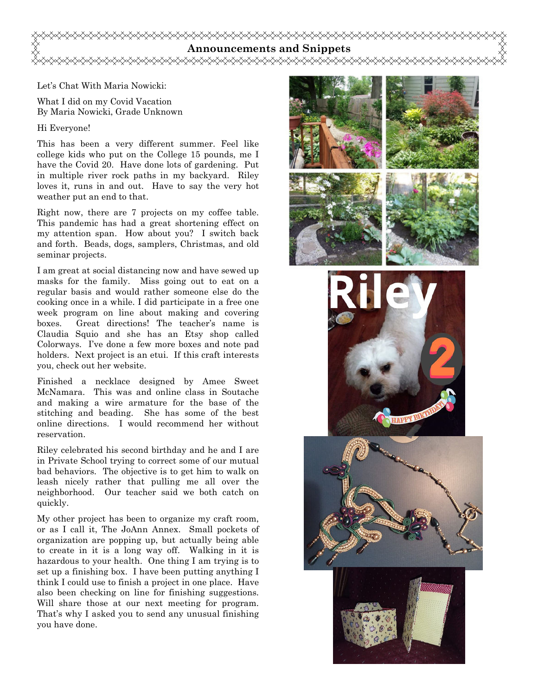## **Announcements and Snippets**  <del></del>

Let's Chat With Maria Nowicki:

What I did on my Covid Vacation By Maria Nowicki, Grade Unknown

#### Hi Everyone!

This has been a very different summer. Feel like college kids who put on the College 15 pounds, me I have the Covid 20. Have done lots of gardening. Put in multiple river rock paths in my backyard. Riley loves it, runs in and out. Have to say the very hot weather put an end to that.

Right now, there are 7 projects on my coffee table. This pandemic has had a great shortening effect on my attention span. How about you? I switch back and forth. Beads, dogs, samplers, Christmas, and old seminar projects.

I am great at social distancing now and have sewed up masks for the family. Miss going out to eat on a regular basis and would rather someone else do the cooking once in a while. I did participate in a free one week program on line about making and covering boxes. Great directions! The teacher's name is Claudia Squio and she has an Etsy shop called Colorways. I've done a few more boxes and note pad holders. Next project is an etui. If this craft interests you, check out her website.

Finished a necklace designed by Amee Sweet McNamara. This was and online class in Soutache and making a wire armature for the base of the stitching and beading. She has some of the best online directions. I would recommend her without reservation.

Riley celebrated his second birthday and he and I are in Private School trying to correct some of our mutual bad behaviors. The objective is to get him to walk on leash nicely rather that pulling me all over the neighborhood. Our teacher said we both catch on quickly.

My other project has been to organize my craft room, or as I call it, The JoAnn Annex. Small pockets of organization are popping up, but actually being able to create in it is a long way off. Walking in it is hazardous to your health. One thing I am trying is to set up a finishing box. I have been putting anything I think I could use to finish a project in one place. Have also been checking on line for finishing suggestions. Will share those at our next meeting for program. That's why I asked you to send any unusual finishing you have done.







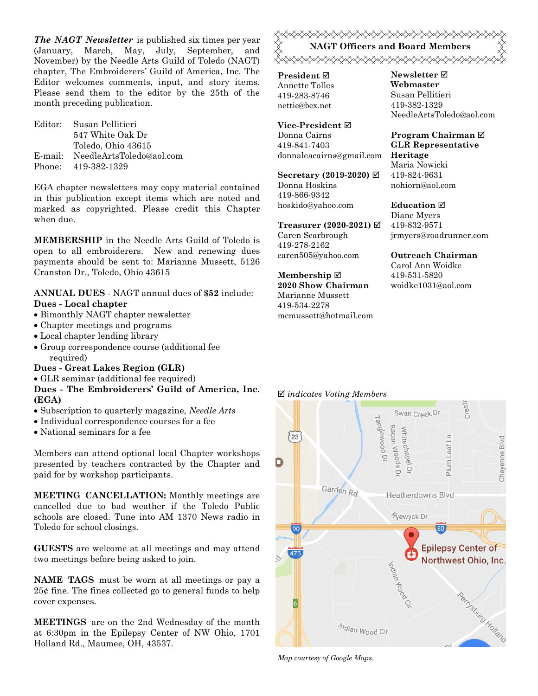*The NAGT Newsletter* is published six times per year (January, March, May, July, September, and November) by the Needle Arts Guild of Toledo (NAGT) chapter, The Embroiderers' Guild of America, Inc. The Editor welcomes comments, input, and story items. Please send them to the editor by the 25th of the month preceding publication.

Editor: Susan Pellitieri 547 White Oak Dr Toledo, Ohio 43615 E-mail: NeedleArtsToledo@aol.com Phone: 419-382-1329

EGA chapter newsletters may copy material contained in this publication except items which are noted and marked as copyrighted. Please credit this Chapter when due.

**MEMBERSHIP** in the Needle Arts Guild of Toledo is open to all embroiderers. New and renewing dues payments should be sent to: Marianne Mussett, 5126 Cranston Dr., Toledo, Ohio 43615

## **ANNUAL DUES** - NAGT annual dues of **\$52** include: **Dues - Local chapter**

- Bimonthly NAGT chapter newsletter
- Chapter meetings and programs
- Local chapter lending library
- Group correspondence course (additional fee required)

### **Dues - Great Lakes Region (GLR)**

GLR seminar (additional fee required)

# **Dues - The Embroiderers' Guild of America, Inc. (EGA)**

- Subscription to quarterly magazine, *Needle Arts*
- Individual correspondence courses for a fee
- National seminars for a fee

Members can attend optional local Chapter workshops presented by teachers contracted by the Chapter and paid for by workshop participants.

**MEETING CANCELLATION:** Monthly meetings are cancelled due to bad weather if the Toledo Public schools are closed. Tune into AM 1370 News radio in Toledo for school closings.

**GUESTS** are welcome at all meetings and may attend two meetings before being asked to join.

**NAME TAGS** must be worn at all meetings or pay a 25¢ fine. The fines collected go to general funds to help cover expenses.

**MEETINGS** are on the 2nd Wednesday of the month at 6:30pm in the Epilepsy Center of NW Ohio, 1701 Holland Rd., Maumee, OH, 43537.



**President** Annette Tolles 419-283-8746 nettie@bex.net

**Vice-President** Donna Cairns 419-841-7403 donnaleacairns@gmail.com

**Secretary (2019-2020)**  Donna Hoskins 419-866-9342 hoskido@yahoo.com

**Treasurer (2020-2021)**  Caren Scarbrough 419-278-2162 caren505@yahoo.com

**Membership 2020 Show Chairman**  Marianne Mussett 419-534-2278 mcmussett@hotmail.com **Newsletter Webmaster**  Susan Pellitieri 419-382-1329 NeedleArtsToledo@aol.com

**Program Chairman GLR Representative Heritage**  Maria Nowicki 419-824-9631 nohiorn@aol.com

**Education** 

Diane Myers 419-832-9571 jrmyers@roadrunner.com

**Outreach Chairman** Carol Ann Woidke

419-531-5820 woidke1031@aol.com

#### *indicates Voting Members*



*Map courtesy of Google Maps.*